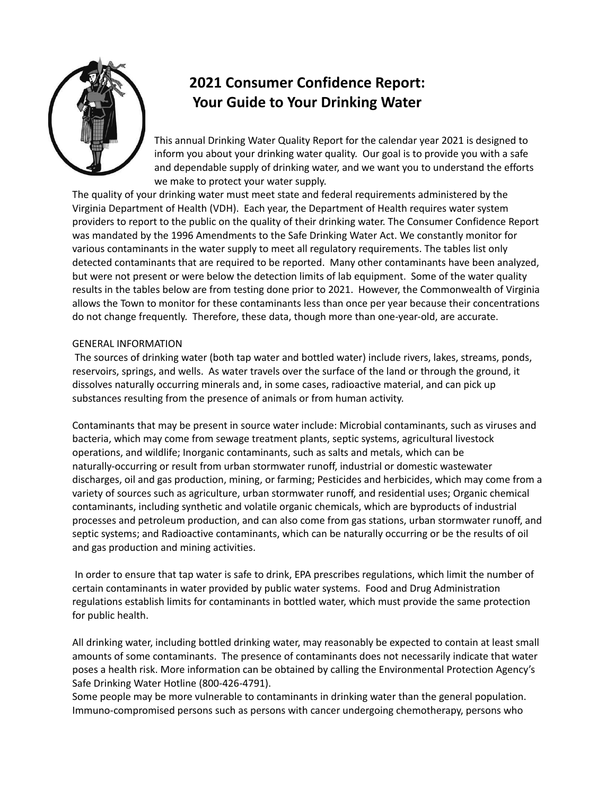

# **2021 Consumer Confidence Report: Your Guide to Your Drinking Water**

This annual Drinking Water Quality Report for the calendar year 2021 is designed to inform you about your drinking water quality. Our goal is to provide you with a safe and dependable supply of drinking water, and we want you to understand the efforts we make to protect your water supply.

The quality of your drinking water must meet state and federal requirements administered by the Virginia Department of Health (VDH). Each year, the Department of Health requires water system providers to report to the public on the quality of their drinking water. The Consumer Confidence Report was mandated by the 1996 Amendments to the Safe Drinking Water Act. We constantly monitor for various contaminants in the water supply to meet all regulatory requirements. The tables list only detected contaminants that are required to be reported. Many other contaminants have been analyzed, but were not present or were below the detection limits of lab equipment. Some of the water quality results in the tables below are from testing done prior to 2021. However, the Commonwealth of Virginia allows the Town to monitor for these contaminants less than once per year because their concentrations do not change frequently. Therefore, these data, though more than one-year-old, are accurate.

#### GENERAL INFORMATION

The sources of drinking water (both tap water and bottled water) include rivers, lakes, streams, ponds, reservoirs, springs, and wells. As water travels over the surface of the land or through the ground, it dissolves naturally occurring minerals and, in some cases, radioactive material, and can pick up substances resulting from the presence of animals or from human activity.

Contaminants that may be present in source water include: Microbial contaminants, such as viruses and bacteria, which may come from sewage treatment plants, septic systems, agricultural livestock operations, and wildlife; Inorganic contaminants, such as salts and metals, which can be naturally-occurring or result from urban stormwater runoff, industrial or domestic wastewater discharges, oil and gas production, mining, or farming; Pesticides and herbicides, which may come from a variety of sources such as agriculture, urban stormwater runoff, and residential uses; Organic chemical contaminants, including synthetic and volatile organic chemicals, which are byproducts of industrial processes and petroleum production, and can also come from gas stations, urban stormwater runoff, and septic systems; and Radioactive contaminants, which can be naturally occurring or be the results of oil and gas production and mining activities.

In order to ensure that tap water is safe to drink, EPA prescribes regulations, which limit the number of certain contaminants in water provided by public water systems. Food and Drug Administration regulations establish limits for contaminants in bottled water, which must provide the same protection for public health.

All drinking water, including bottled drinking water, may reasonably be expected to contain at least small amounts of some contaminants. The presence of contaminants does not necessarily indicate that water poses a health risk. More information can be obtained by calling the Environmental Protection Agency's Safe Drinking Water Hotline (800-426-4791).

Some people may be more vulnerable to contaminants in drinking water than the general population. Immuno-compromised persons such as persons with cancer undergoing chemotherapy, persons who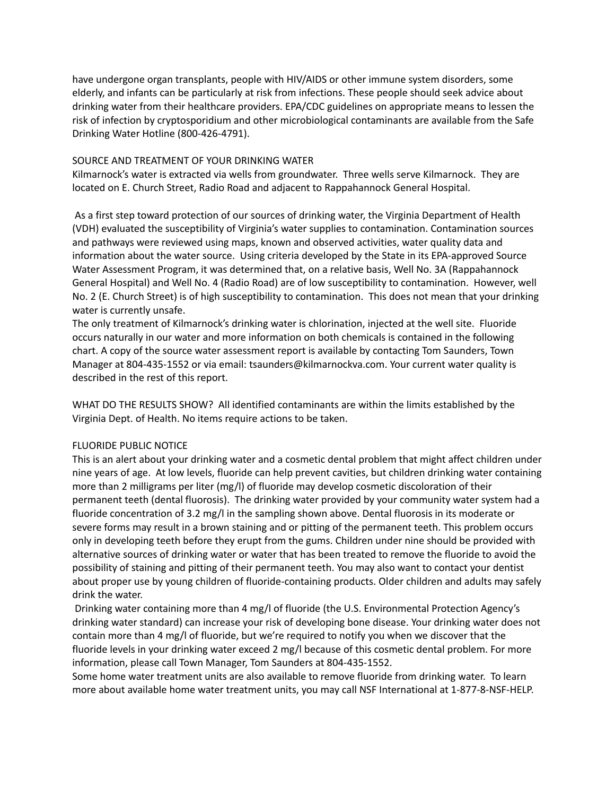have undergone organ transplants, people with HIV/AIDS or other immune system disorders, some elderly, and infants can be particularly at risk from infections. These people should seek advice about drinking water from their healthcare providers. EPA/CDC guidelines on appropriate means to lessen the risk of infection by cryptosporidium and other microbiological contaminants are available from the Safe Drinking Water Hotline (800-426-4791).

### SOURCE AND TREATMENT OF YOUR DRINKING WATER

Kilmarnock's water is extracted via wells from groundwater. Three wells serve Kilmarnock. They are located on E. Church Street, Radio Road and adjacent to Rappahannock General Hospital.

As a first step toward protection of our sources of drinking water, the Virginia Department of Health (VDH) evaluated the susceptibility of Virginia's water supplies to contamination. Contamination sources and pathways were reviewed using maps, known and observed activities, water quality data and information about the water source. Using criteria developed by the State in its EPA-approved Source Water Assessment Program, it was determined that, on a relative basis, Well No. 3A (Rappahannock General Hospital) and Well No. 4 (Radio Road) are of low susceptibility to contamination. However, well No. 2 (E. Church Street) is of high susceptibility to contamination. This does not mean that your drinking water is currently unsafe.

The only treatment of Kilmarnock's drinking water is chlorination, injected at the well site. Fluoride occurs naturally in our water and more information on both chemicals is contained in the following chart. A copy of the source water assessment report is available by contacting Tom Saunders, Town Manager at 804-435-1552 or via email: tsaunders@kilmarnockva.com. Your current water quality is described in the rest of this report.

WHAT DO THE RESULTS SHOW? All identified contaminants are within the limits established by the Virginia Dept. of Health. No items require actions to be taken.

## FLUORIDE PUBLIC NOTICE

This is an alert about your drinking water and a cosmetic dental problem that might affect children under nine years of age. At low levels, fluoride can help prevent cavities, but children drinking water containing more than 2 milligrams per liter (mg/l) of fluoride may develop cosmetic discoloration of their permanent teeth (dental fluorosis). The drinking water provided by your community water system had a fluoride concentration of 3.2 mg/l in the sampling shown above. Dental fluorosis in its moderate or severe forms may result in a brown staining and or pitting of the permanent teeth. This problem occurs only in developing teeth before they erupt from the gums. Children under nine should be provided with alternative sources of drinking water or water that has been treated to remove the fluoride to avoid the possibility of staining and pitting of their permanent teeth. You may also want to contact your dentist about proper use by young children of fluoride-containing products. Older children and adults may safely drink the water.

Drinking water containing more than 4 mg/l of fluoride (the U.S. Environmental Protection Agency's drinking water standard) can increase your risk of developing bone disease. Your drinking water does not contain more than 4 mg/l of fluoride, but we're required to notify you when we discover that the fluoride levels in your drinking water exceed 2 mg/l because of this cosmetic dental problem. For more information, please call Town Manager, Tom Saunders at 804-435-1552.

Some home water treatment units are also available to remove fluoride from drinking water. To learn more about available home water treatment units, you may call NSF International at 1-877-8-NSF-HELP.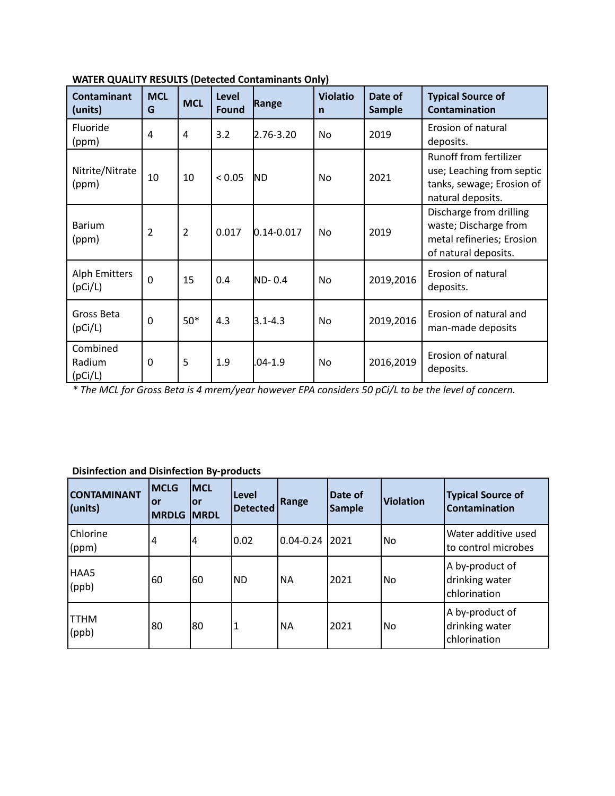| <b>Contaminant</b><br>(units)   | <b>MCL</b><br>G | <b>MCL</b> | <b>Level</b><br>Found | Range          | <b>Violatio</b><br>$\mathsf{n}$ | Date of<br><b>Sample</b> | <b>Typical Source of</b><br>Contamination                                                                    |
|---------------------------------|-----------------|------------|-----------------------|----------------|---------------------------------|--------------------------|--------------------------------------------------------------------------------------------------------------|
| Fluoride<br>(ppm)               | 4               | 4          | 3.2                   | $2.76 - 3.20$  | <b>No</b>                       | 2019                     | Erosion of natural<br>deposits.                                                                              |
| Nitrite/Nitrate<br>(ppm)        | 10              | 10         | < 0.05                | ND.            | No                              | 2021                     | <b>Runoff from fertilizer</b><br>use; Leaching from septic<br>tanks, sewage; Erosion of<br>natural deposits. |
| <b>Barium</b><br>(ppm)          | $\overline{2}$  | 2          | 0.017                 | $0.14 - 0.017$ | <b>No</b>                       | 2019                     | Discharge from drilling<br>waste; Discharge from<br>metal refineries; Erosion<br>of natural deposits.        |
| <b>Alph Emitters</b><br>(pCi/L) | $\mathbf 0$     | 15         | 0.4                   | $ND-0.4$       | No.                             | 2019,2016                | Erosion of natural<br>deposits.                                                                              |
| Gross Beta<br>(pCi/L)           | $\Omega$        | $50*$      | 4.3                   | $3.1 - 4.3$    | No                              | 2019,2016                | Erosion of natural and<br>man-made deposits                                                                  |
| Combined<br>Radium<br>(pCi/L)   | $\Omega$        | 5          | 1.9                   | $.04 - 1.9$    | No.                             | 2016,2019                | Erosion of natural<br>deposits.                                                                              |

# **WATER QUALITY RESULTS (Detected Contaminants Only)**

\* The MCL for Gross Beta is 4 mrem/year however EPA considers 50 pCi/L to be the level of concern.

# **Disinfection and Disinfection By-products**

| <b>CONTAMINANT</b><br>$ $ (units) | <b>MCLG</b><br><b>or</b><br><b>MRDLG</b> | <b>IMCL</b><br>lor<br><b>IMRDL</b> | Level<br><b>Detected</b> | Range          | Date of<br><b>Sample</b> | <b>Violation</b> | <b>Typical Source of</b><br><b>Contamination</b>  |
|-----------------------------------|------------------------------------------|------------------------------------|--------------------------|----------------|--------------------------|------------------|---------------------------------------------------|
| Chlorine<br>(ppm)                 | 4                                        | 14                                 | 0.02                     | 0.04-0.24 2021 |                          | No.              | Water additive used<br>to control microbes        |
| HAA5<br>(ppb)                     | 60                                       | 160                                | <b>ND</b>                | <b>NA</b>      | 2021                     | No.              | A by-product of<br>drinking water<br>chlorination |
| <b>TTHM</b><br>(ppb)              | 80                                       | 80                                 | 1                        | <b>NA</b>      | 2021                     | No.              | A by-product of<br>drinking water<br>chlorination |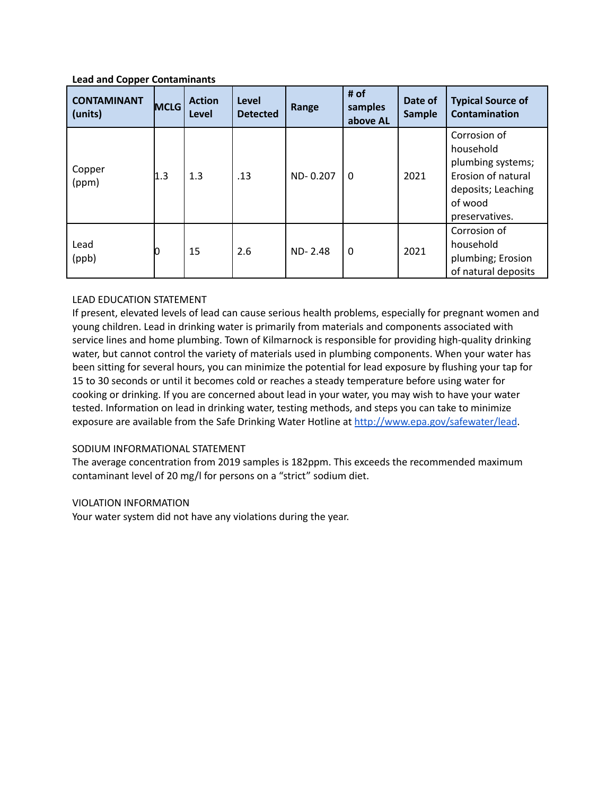## **Lead and Copper Contaminants**

| <b>CONTAMINANT</b><br>(units) | <b>MCLG</b> | <b>Action</b><br>Level | Level<br><b>Detected</b> | Range    | # of<br>samples<br>above AL | Date of<br><b>Sample</b> | <b>Typical Source of</b><br><b>Contamination</b>                                                                        |
|-------------------------------|-------------|------------------------|--------------------------|----------|-----------------------------|--------------------------|-------------------------------------------------------------------------------------------------------------------------|
| Copper<br>(ppm)               | 1.3         | 1.3                    | .13                      | ND-0.207 | $\Omega$                    | 2021                     | Corrosion of<br>household<br>plumbing systems;<br>Erosion of natural<br>deposits; Leaching<br>of wood<br>preservatives. |
| Lead<br>(ppb)                 |             | 15                     | 2.6                      | ND-2.48  | $\Omega$                    | 2021                     | Corrosion of<br>household<br>plumbing; Erosion<br>of natural deposits                                                   |

## LEAD EDUCATION STATEMENT

If present, elevated levels of lead can cause serious health problems, especially for pregnant women and young children. Lead in drinking water is primarily from materials and components associated with service lines and home plumbing. Town of Kilmarnock is responsible for providing high-quality drinking water, but cannot control the variety of materials used in plumbing components. When your water has been sitting for several hours, you can minimize the potential for lead exposure by flushing your tap for 15 to 30 seconds or until it becomes cold or reaches a steady temperature before using water for cooking or drinking. If you are concerned about lead in your water, you may wish to have your water tested. Information on lead in drinking water, testing methods, and steps you can take to minimize exposure are available from the Safe Drinking Water Hotline at <http://www.epa.gov/safewater/lead>.

## SODIUM INFORMATIONAL STATEMENT

The average concentration from 2019 samples is 182ppm. This exceeds the recommended maximum contaminant level of 20 mg/l for persons on a "strict" sodium diet.

## VIOLATION INFORMATION

Your water system did not have any violations during the year.